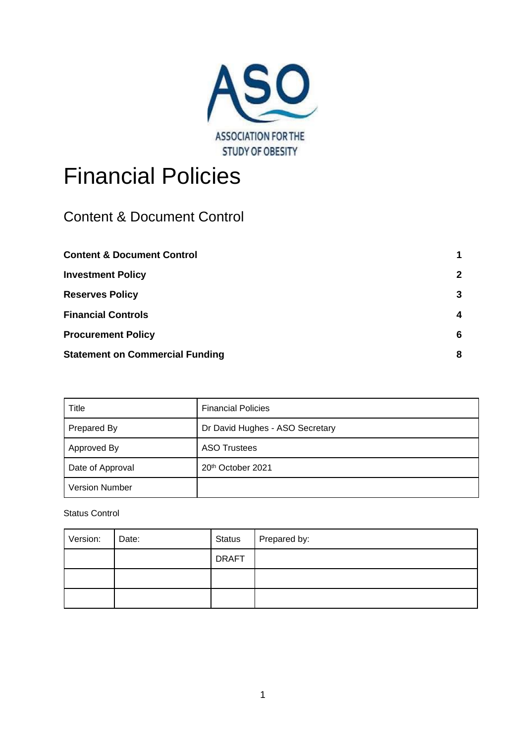

# Financial Policies

# <span id="page-0-0"></span>Content & Document Control

| <b>Content &amp; Document Control</b>  |              |
|----------------------------------------|--------------|
| <b>Investment Policy</b>               | $\mathbf{2}$ |
| <b>Reserves Policy</b>                 | 3            |
| <b>Financial Controls</b>              | 4            |
| <b>Procurement Policy</b>              | 6            |
| <b>Statement on Commercial Funding</b> | 8            |

| Title                 | <b>Financial Policies</b>       |  |  |
|-----------------------|---------------------------------|--|--|
| <b>Prepared By</b>    | Dr David Hughes - ASO Secretary |  |  |
| Approved By           | <b>ASO Trustees</b>             |  |  |
| Date of Approval      | 20 <sup>th</sup> October 2021   |  |  |
| <b>Version Number</b> |                                 |  |  |

Status Control

| Version: | Date: | <b>Status</b> | Prepared by: |
|----------|-------|---------------|--------------|
|          |       | <b>DRAFT</b>  |              |
|          |       |               |              |
|          |       |               |              |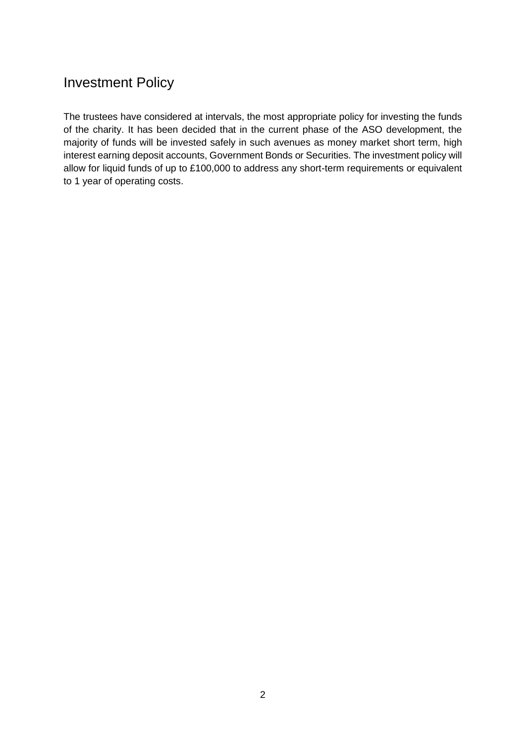### <span id="page-1-0"></span>Investment Policy

The trustees have considered at intervals, the most appropriate policy for investing the funds of the charity. It has been decided that in the current phase of the ASO development, the majority of funds will be invested safely in such avenues as money market short term, high interest earning deposit accounts, Government Bonds or Securities. The investment policy will allow for liquid funds of up to £100,000 to address any short-term requirements or equivalent to 1 year of operating costs.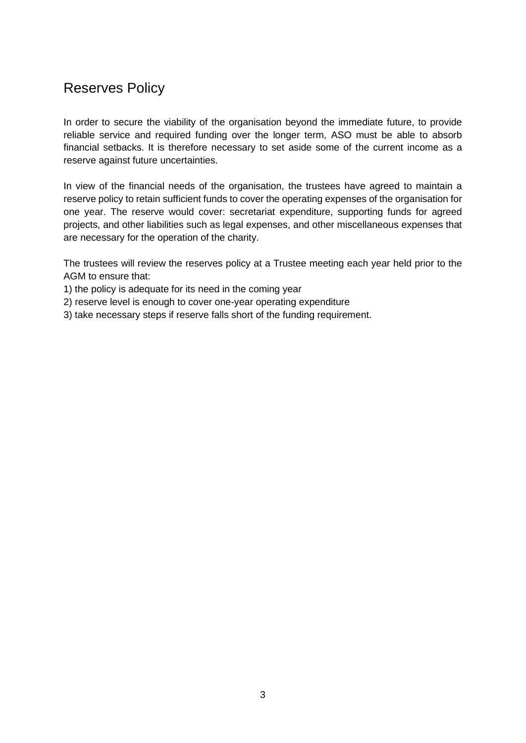### <span id="page-2-0"></span>Reserves Policy

In order to secure the viability of the organisation beyond the immediate future, to provide reliable service and required funding over the longer term, ASO must be able to absorb financial setbacks. It is therefore necessary to set aside some of the current income as a reserve against future uncertainties.

In view of the financial needs of the organisation, the trustees have agreed to maintain a reserve policy to retain sufficient funds to cover the operating expenses of the organisation for one year. The reserve would cover: secretariat expenditure, supporting funds for agreed projects, and other liabilities such as legal expenses, and other miscellaneous expenses that are necessary for the operation of the charity.

The trustees will review the reserves policy at a Trustee meeting each year held prior to the AGM to ensure that:

1) the policy is adequate for its need in the coming year

- 2) reserve level is enough to cover one-year operating expenditure
- 3) take necessary steps if reserve falls short of the funding requirement.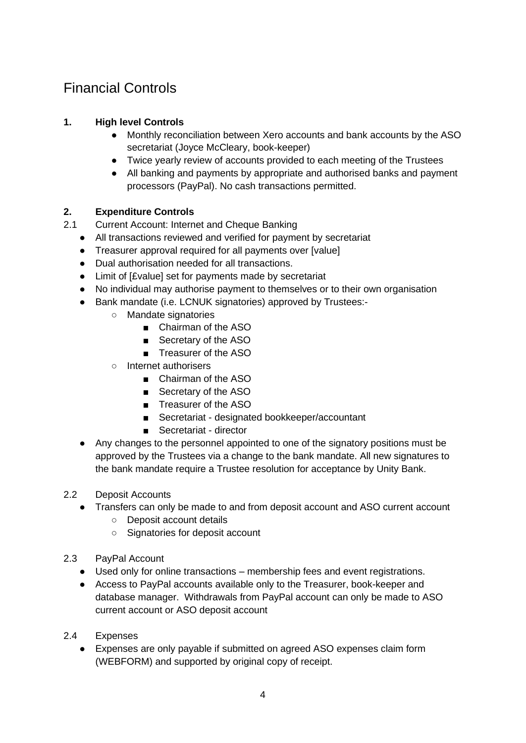# <span id="page-3-0"></span>Financial Controls

#### **1. High level Controls**

- Monthly reconciliation between Xero accounts and bank accounts by the ASO secretariat (Joyce McCleary, book-keeper)
- Twice yearly review of accounts provided to each meeting of the Trustees
- All banking and payments by appropriate and authorised banks and payment processors (PayPal). No cash transactions permitted.

#### **2. Expenditure Controls**

- 2.1 Current Account: Internet and Cheque Banking
	- All transactions reviewed and verified for payment by secretariat
		- Treasurer approval required for all payments over [value]
		- Dual authorisation needed for all transactions.
		- Limit of [£value] set for payments made by secretariat
		- No individual may authorise payment to themselves or to their own organisation
	- Bank mandate (i.e. LCNUK signatories) approved by Trustees:-
		- Mandate signatories
			- Chairman of the ASO
			- Secretary of the ASO
			- Treasurer of the ASO
		- Internet authorisers
			- Chairman of the ASO
			- Secretary of the ASO
			- Treasurer of the ASO
			- Secretariat designated bookkeeper/accountant
			- Secretariat director
	- Any changes to the personnel appointed to one of the signatory positions must be approved by the Trustees via a change to the bank mandate. All new signatures to the bank mandate require a Trustee resolution for acceptance by Unity Bank.
- 2.2 Deposit Accounts
	- Transfers can only be made to and from deposit account and ASO current account
		- Deposit account details
		- Signatories for deposit account
- 2.3 PayPal Account
	- Used only for online transactions membership fees and event registrations.
	- Access to PayPal accounts available only to the Treasurer, book-keeper and database manager. Withdrawals from PayPal account can only be made to ASO current account or ASO deposit account
- 2.4 Expenses
	- Expenses are only payable if submitted on agreed ASO expenses claim form (WEBFORM) and supported by original copy of receipt.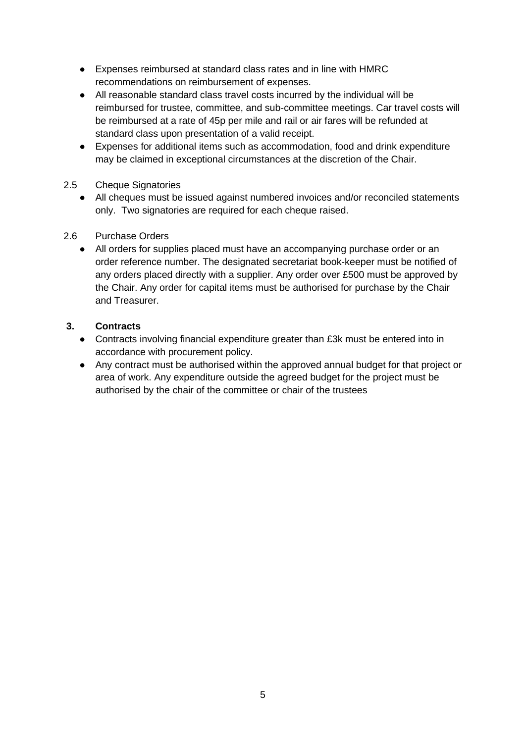- Expenses reimbursed at standard class rates and in line with HMRC recommendations on reimbursement of expenses.
- All reasonable standard class travel costs incurred by the individual will be reimbursed for trustee, committee, and sub-committee meetings. Car travel costs will be reimbursed at a rate of 45p per mile and rail or air fares will be refunded at standard class upon presentation of a valid receipt.
- Expenses for additional items such as accommodation, food and drink expenditure may be claimed in exceptional circumstances at the discretion of the Chair.

#### 2.5 Cheque Signatories

● All cheques must be issued against numbered invoices and/or reconciled statements only. Two signatories are required for each cheque raised.

#### 2.6 Purchase Orders

● All orders for supplies placed must have an accompanying purchase order or an order reference number. The designated secretariat book-keeper must be notified of any orders placed directly with a supplier. Any order over £500 must be approved by the Chair. Any order for capital items must be authorised for purchase by the Chair and Treasurer.

#### **3. Contracts**

- Contracts involving financial expenditure greater than £3k must be entered into in accordance with procurement policy.
- Any contract must be authorised within the approved annual budget for that project or area of work. Any expenditure outside the agreed budget for the project must be authorised by the chair of the committee or chair of the trustees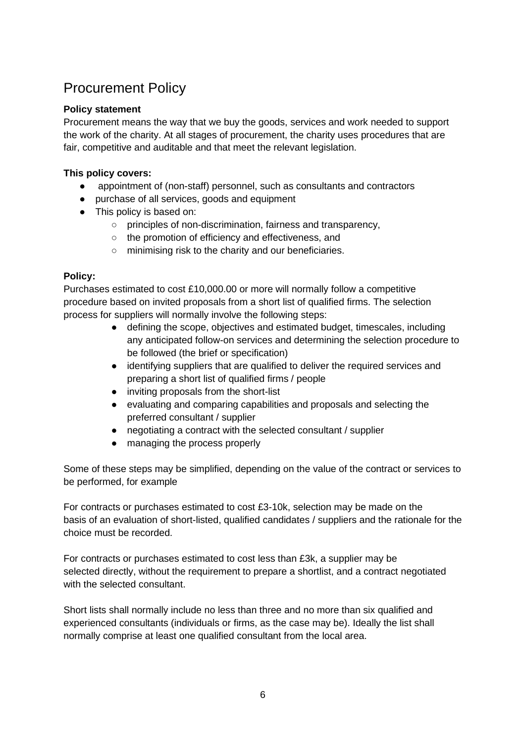# <span id="page-5-0"></span>Procurement Policy

#### **Policy statement**

Procurement means the way that we buy the goods, services and work needed to support the work of the charity. At all stages of procurement, the charity uses procedures that are fair, competitive and auditable and that meet the relevant legislation.

#### **This policy covers:**

- appointment of (non-staff) personnel, such as consultants and contractors
- purchase of all services, goods and equipment
- This policy is based on:
	- principles of non-discrimination, fairness and transparency,
	- the promotion of efficiency and effectiveness, and
	- minimising risk to the charity and our beneficiaries.

#### **Policy:**

Purchases estimated to cost £10,000.00 or more will normally follow a competitive procedure based on invited proposals from a short list of qualified firms. The selection process for suppliers will normally involve the following steps:

- defining the scope, objectives and estimated budget, timescales, including any anticipated follow-on services and determining the selection procedure to be followed (the brief or specification)
- identifying suppliers that are qualified to deliver the required services and preparing a short list of qualified firms / people
- inviting proposals from the short-list
- evaluating and comparing capabilities and proposals and selecting the preferred consultant / supplier
- negotiating a contract with the selected consultant / supplier
- managing the process properly

Some of these steps may be simplified, depending on the value of the contract or services to be performed, for example

For contracts or purchases estimated to cost £3-10k, selection may be made on the basis of an evaluation of short-listed, qualified candidates / suppliers and the rationale for the choice must be recorded.

For contracts or purchases estimated to cost less than £3k, a supplier may be selected directly, without the requirement to prepare a shortlist, and a contract negotiated with the selected consultant.

Short lists shall normally include no less than three and no more than six qualified and experienced consultants (individuals or firms, as the case may be). Ideally the list shall normally comprise at least one qualified consultant from the local area.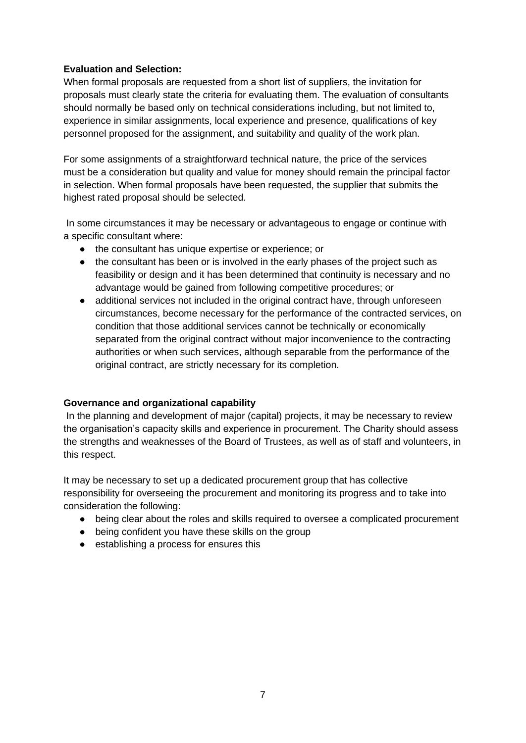#### **Evaluation and Selection:**

When formal proposals are requested from a short list of suppliers, the invitation for proposals must clearly state the criteria for evaluating them. The evaluation of consultants should normally be based only on technical considerations including, but not limited to, experience in similar assignments, local experience and presence, qualifications of key personnel proposed for the assignment, and suitability and quality of the work plan.

For some assignments of a straightforward technical nature, the price of the services must be a consideration but quality and value for money should remain the principal factor in selection. When formal proposals have been requested, the supplier that submits the highest rated proposal should be selected.

In some circumstances it may be necessary or advantageous to engage or continue with a specific consultant where:

- the consultant has unique expertise or experience; or
- the consultant has been or is involved in the early phases of the project such as feasibility or design and it has been determined that continuity is necessary and no advantage would be gained from following competitive procedures; or
- additional services not included in the original contract have, through unforeseen circumstances, become necessary for the performance of the contracted services, on condition that those additional services cannot be technically or economically separated from the original contract without major inconvenience to the contracting authorities or when such services, although separable from the performance of the original contract, are strictly necessary for its completion.

#### **Governance and organizational capability**

In the planning and development of major (capital) projects, it may be necessary to review the organisation's capacity skills and experience in procurement. The Charity should assess the strengths and weaknesses of the Board of Trustees, as well as of staff and volunteers, in this respect.

It may be necessary to set up a dedicated procurement group that has collective responsibility for overseeing the procurement and monitoring its progress and to take into consideration the following:

- being clear about the roles and skills required to oversee a complicated procurement
- being confident you have these skills on the group
- establishing a process for ensures this